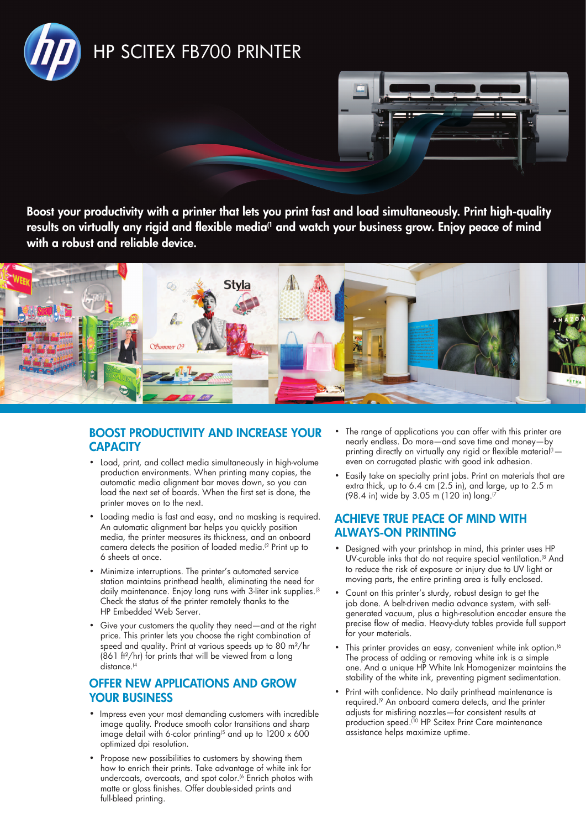



Boost your productivity with a printer that lets you print fast and load simultaneously. Print high-quality results on virtually any rigid and flexible media<sup>(1</sup> and watch your business grow. Enjoy peace of mind with a robust and reliable device.



# Boost productivity and increase your **CAPACITY**

- Load, print, and collect media simultaneously in high-volume production environments. When printing many copies, the automatic media alignment bar moves down, so you can load the next set of boards. When the first set is done, the printer moves on to the next.
- Loading media is fast and easy, and no masking is required. An automatic alignment bar helps you quickly position media, the printer measures its thickness, and an onboard camera detects the position of loaded media.(2 Print up to 6 sheets at once.
- • Minimize interruptions. The printer's automated service station maintains printhead health, eliminating the need for daily maintenance. Enjoy long runs with 3-liter ink supplies.<sup>(3</sup>) Check the status of the printer remotely thanks to the HP Embedded Web Server.
- • Give your customers the quality they need—and at the right price. This printer lets you choose the right combination of speed and quality. Print at various speeds up to 80 m²/hr (861 ft²/hr) for prints that will be viewed from a long distance.<sup>(4</sup>

## offer new applications and grow YOUR BUSINESS

- Impress even your most demanding customers with incredible image quality. Produce smooth color transitions and sharp image detail with 6-color printing<sup> $(5$ </sup> and up to  $1200 \times 600$ optimized dpi resolution.
- Propose new possibilities to customers by showing them how to enrich their prints. Take advantage of white ink for undercoats, overcoats, and spot color.<sup>(6</sup> Enrich photos with matte or gloss finishes. Offer double-sided prints and full-bleed printing.
- The range of applications you can offer with this printer are nearly endless. Do more—and save time and money—by printing directly on virtually any rigid or flexible material<sup>(1</sup> $$ even on corrugated plastic with good ink adhesion.
- Easily take on specialty print jobs. Print on materials that are extra thick, up to 6.4 cm (2.5 in), and large, up to 2.5 m (98.4 in) wide by 3.05 m (120 in) long.(7

## Achieve true peace of mind with always-on printing

- Designed with your printshop in mind, this printer uses HP UV-curable inks that do not require special ventilation.<sup>(8</sup> And to reduce the risk of exposure or injury due to UV light or moving parts, the entire printing area is fully enclosed.
- Count on this printer's sturdy, robust design to get the job done. A belt-driven media advance system, with selfgenerated vacuum, plus a high-resolution encoder ensure the precise flow of media. Heavy-duty tables provide full support for your materials.
- This printer provides an easy, convenient white ink option.<sup>(6</sup> The process of adding or removing white ink is a simple one. And a unique HP White Ink Homogenizer maintains the stability of the white ink, preventing pigment sedimentation.
- Print with confidence. No daily printhead maintenance is required.(9 An onboard camera detects, and the printer adjusts for misfiring nozzles—for consistent results at production speed.<sup>(10</sup> HP Scitex Print Care maintenance assistance helps maximize uptime.